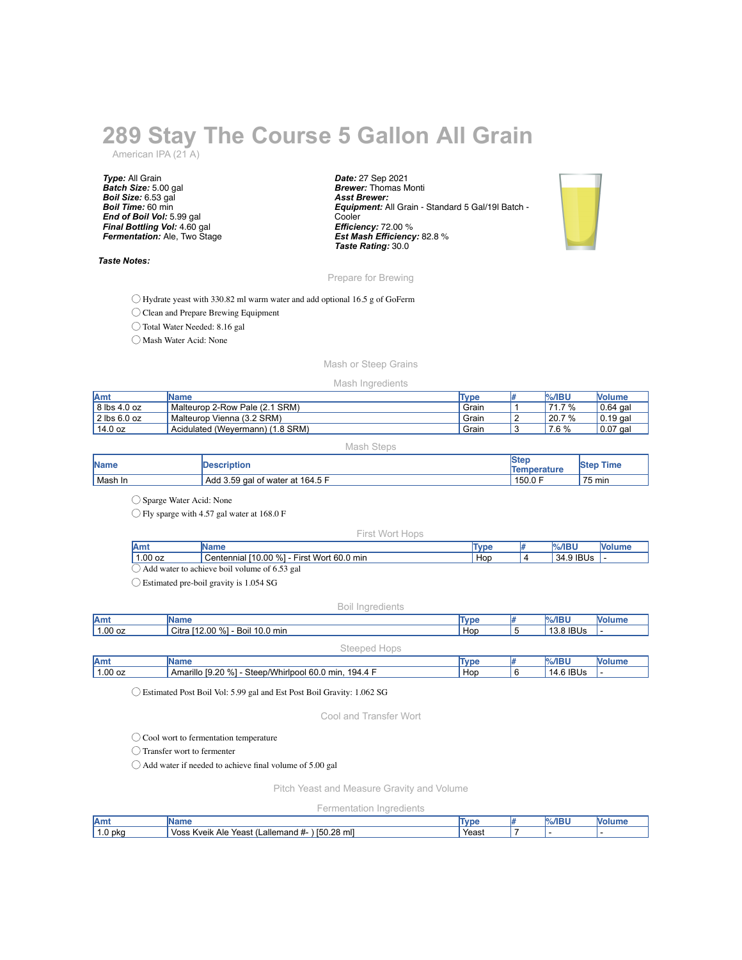# **289 Stay The Course 5 Gallon All Grain**

American IPA (21 A)

*Type:* All Grain *Batch Size:* 5.00 gal *Boil Size:* 6.53 gal *Boil Time:* 60 min *End of Boil Vol:* 5.99 gal *Final Bottling Vol:* 4.60 gal *Fermentation:* Ale, Two Stage

#### *Taste Notes:*

*Date:* 27 Sep 2021 *Brewer:* Thomas Monti *Asst Brewer: Equipment:* All Grain - Standard 5 Gal/19l Batch - **Cooler** *Efficiency:* 72.00 % *Est Mash Efficiency:* 82.8 % *Taste Rating:* 30.0



## Prepare for Brewing

◯ Hydrate yeast with 330.82 ml warm water and add optional 16.5 g of GoFerm

◯ Clean and Prepare Brewing Equipment

◯ Total Water Needed: 8.16 gal

◯ Mash Water Acid: None

## Mash or Steep Grains

#### Mash Ingredients

| <b>IAmt</b>  | <b>IName</b>                          | Type  | $\frac{9}{6}$ /IBU | <b>Nolume</b> |
|--------------|---------------------------------------|-------|--------------------|---------------|
| 8 lbs 4.0 oz | Malteurop 2-Row Pale (2.1 SRM)        | Grain | $7\%$<br>.         | $0.64$ gal    |
| 2 lbs 6.0 oz | Malteurop Vienna (3.2 SRM)            | Grain | $^{\prime}$ 20.7 % | l 0.19 gal    |
| 14.0 oz      | Acidulated (Wevermann)<br>) (1.8 SRM) | Grain | 7.6 %              | $0.07$ gal    |

## Mash Steps

| <b>Name</b> | <b>Description</b>               | 'Ster<br><b>Temperature</b> | ™e<br><b>ISTED</b> |
|-------------|----------------------------------|-----------------------------|--------------------|
| Mash In     | Add 3.59 gal of water at 164.5 F | ، 150.0 F                   | 75 min             |

◯ Sparge Water Acid: None

◯ Fly sparge with 4.57 gal water at 168.0 F

#### First Wort Hops

| ווור                                                     | ле                                                          | <b>Type</b> |  | $\%$ /IBU            |  |
|----------------------------------------------------------|-------------------------------------------------------------|-------------|--|----------------------|--|
| 1.00 oz                                                  | %1<br>Wort<br>60.0<br>′ 0.00،<br>min<br>⊢ırst<br>Centennial | Hop         |  | <b>IBUs</b><br>134.5 |  |
| ' gal<br>l water to achieve boil<br>Add<br>volume<br>-01 |                                                             |             |  |                      |  |

◯ Estimated pre-boil gravity is 1.054 SG

## Boil Ingredients

| Amt     | Name                                |              | Type | $%$ /IBU                     | <b>Volume</b> |
|---------|-------------------------------------|--------------|------|------------------------------|---------------|
| 1.00 oz | [12.00 %]<br>Boil 10.0 min<br>Citra |              | Hop  | $^{\circ}$ 8 IBUs $^{\circ}$ |               |
|         |                                     | Steened Hone |      |                              |               |

|         | コンレー                                                                    |      |                |        |
|---------|-------------------------------------------------------------------------|------|----------------|--------|
| Amt     | ame                                                                     | Type | .%/IBl'        | ™olum⊾ |
| 1.00 oz | 19.20%<br>Steep/Whirlpool 60.0<br>194.4<br>Amarillo<br>חות <sup>ח</sup> | Hop  | ີ IBUs<br>14.1 |        |
|         |                                                                         |      |                |        |

◯ Estimated Post Boil Vol: 5.99 gal and Est Post Boil Gravity: 1.062 SG

Cool and Transfer Wort

## ◯ Cool wort to fermentation temperature

◯ Transfer wort to fermenter

◯ Add water if needed to achieve final volume of 5.00 gal

Pitch Yeast and Measure Gravity and Volume

Fermentation Ingredients

| Amt        | .me                                                                        | "VDL  | $- - -$<br>يتسلط الرياس | M |
|------------|----------------------------------------------------------------------------|-------|-------------------------|---|
| ) pka<br>U | щ<br>[50.28 ml]<br>∟allemand #-<br>. Voss<br>Kveik<br>Ale<br>Yeast<br>caoı | Yeast |                         |   |